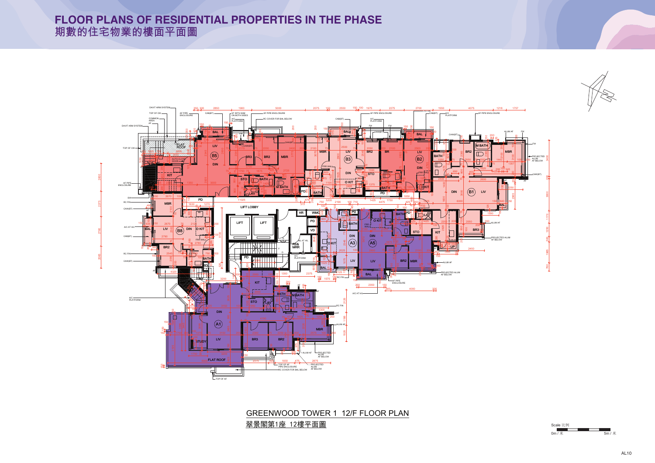GREENWOOD TOWER 1 12/F FLOOR PLAN

翠景閣第1座 12樓平面圖



## **FLOOR PLANS OF RESIDENTIAL PROPERTIES IN THE PHASE FLOOR PLANS OF RESIDENTIAL PROPERTIES IN THE PHASE 期數的住宅物業的樓面平面圖** 期數的住宅物業的樓面平面圖







AL10